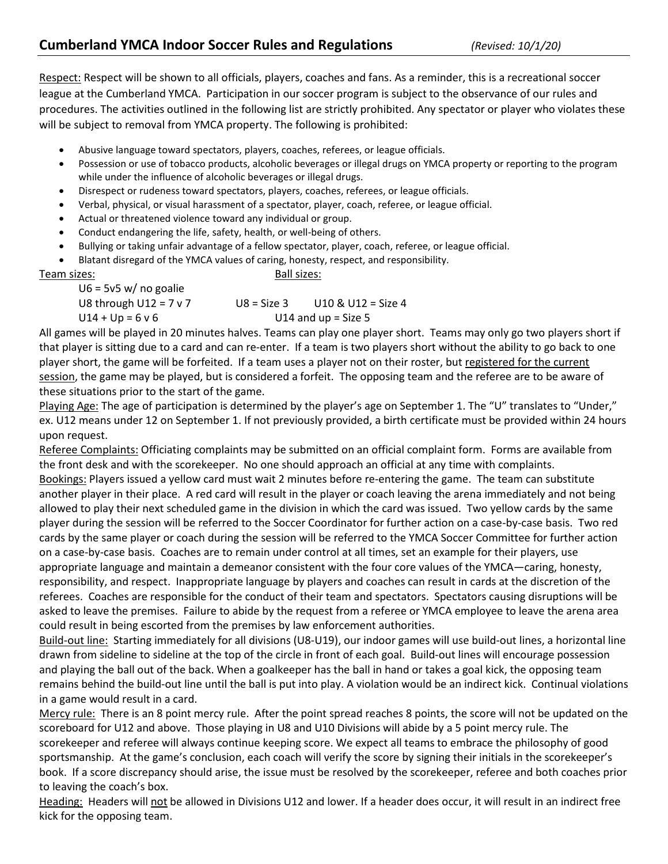Respect: Respect will be shown to all officials, players, coaches and fans. As a reminder, this is a recreational soccer league at the Cumberland YMCA. Participation in our soccer program is subject to the observance of our rules and procedures. The activities outlined in the following list are strictly prohibited. Any spectator or player who violates these will be subject to removal from YMCA property. The following is prohibited:

- Abusive language toward spectators, players, coaches, referees, or league officials.
- Possession or use of tobacco products, alcoholic beverages or illegal drugs on YMCA property or reporting to the program while under the influence of alcoholic beverages or illegal drugs.
- Disrespect or rudeness toward spectators, players, coaches, referees, or league officials.
- Verbal, physical, or visual harassment of a spectator, player, coach, referee, or league official.
- Actual or threatened violence toward any individual or group.
- Conduct endangering the life, safety, health, or well-being of others.
- Bullying or taking unfair advantage of a fellow spectator, player, coach, referee, or league official.
- Blatant disregard of the YMCA values of caring, honesty, respect, and responsibility.

Team sizes: Ball sizes:

 $U6 = 5v5$  w/ no goalie U8 through  $U12 = 7 v 7$  U8 = Size 3 U10 & U12 = Size 4  $U14 + Up = 6 v 6$  U14 and up = Size 5

All games will be played in 20 minutes halves. Teams can play one player short. Teams may only go two players short if that player is sitting due to a card and can re-enter. If a team is two players short without the ability to go back to one player short, the game will be forfeited. If a team uses a player not on their roster, but registered for the current session, the game may be played, but is considered a forfeit. The opposing team and the referee are to be aware of these situations prior to the start of the game.

Playing Age: The age of participation is determined by the player's age on September 1. The "U" translates to "Under," ex. U12 means under 12 on September 1. If not previously provided, a birth certificate must be provided within 24 hours upon request.

Referee Complaints: Officiating complaints may be submitted on an official complaint form. Forms are available from the front desk and with the scorekeeper. No one should approach an official at any time with complaints. Bookings: Players issued a yellow card must wait 2 minutes before re-entering the game. The team can substitute another player in their place. A red card will result in the player or coach leaving the arena immediately and not being allowed to play their next scheduled game in the division in which the card was issued. Two yellow cards by the same player during the session will be referred to the Soccer Coordinator for further action on a case-by-case basis. Two red cards by the same player or coach during the session will be referred to the YMCA Soccer Committee for further action on a case-by-case basis. Coaches are to remain under control at all times, set an example for their players, use appropriate language and maintain a demeanor consistent with the four core values of the YMCA—caring, honesty, responsibility, and respect. Inappropriate language by players and coaches can result in cards at the discretion of the referees. Coaches are responsible for the conduct of their team and spectators. Spectators causing disruptions will be asked to leave the premises. Failure to abide by the request from a referee or YMCA employee to leave the arena area could result in being escorted from the premises by law enforcement authorities.

Build-out line: Starting immediately for all divisions (U8-U19), our indoor games will use build-out lines, a horizontal line drawn from sideline to sideline at the top of the circle in front of each goal. Build-out lines will encourage possession and playing the ball out of the back. When a goalkeeper has the ball in hand or takes a goal kick, the opposing team remains behind the build-out line until the ball is put into play. A violation would be an indirect kick. Continual violations in a game would result in a card.

Mercy rule: There is an 8 point mercy rule. After the point spread reaches 8 points, the score will not be updated on the scoreboard for U12 and above. Those playing in U8 and U10 Divisions will abide by a 5 point mercy rule. The scorekeeper and referee will always continue keeping score. We expect all teams to embrace the philosophy of good sportsmanship. At the game's conclusion, each coach will verify the score by signing their initials in the scorekeeper's book. If a score discrepancy should arise, the issue must be resolved by the scorekeeper, referee and both coaches prior to leaving the coach's box.

Heading: Headers will not be allowed in Divisions U12 and lower. If a header does occur, it will result in an indirect free kick for the opposing team.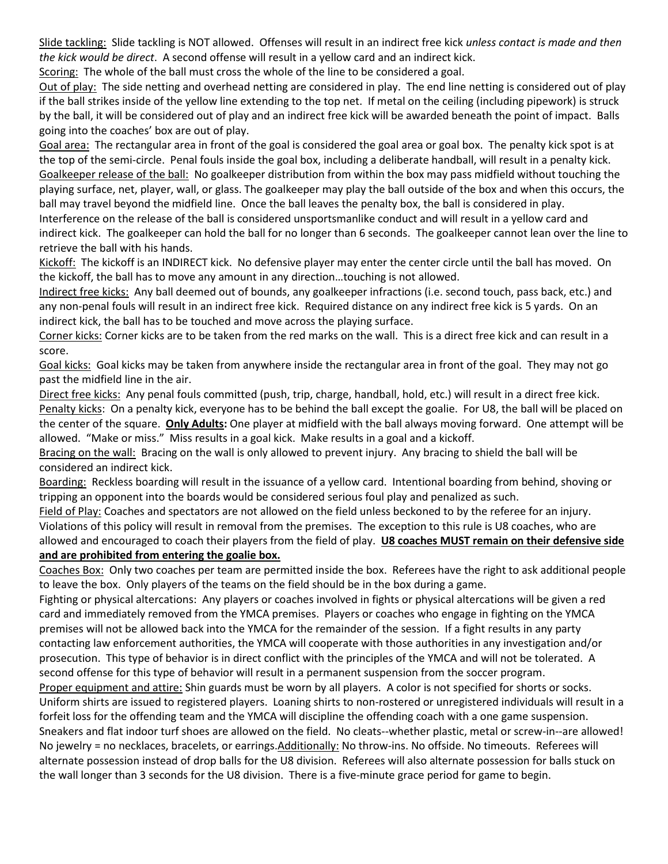Slide tackling: Slide tackling is NOT allowed. Offenses will result in an indirect free kick *unless contact is made and then the kick would be direct*. A second offense will result in a yellow card and an indirect kick.

Scoring: The whole of the ball must cross the whole of the line to be considered a goal.

Out of play: The side netting and overhead netting are considered in play. The end line netting is considered out of play if the ball strikes inside of the yellow line extending to the top net. If metal on the ceiling (including pipework) is struck by the ball, it will be considered out of play and an indirect free kick will be awarded beneath the point of impact. Balls going into the coaches' box are out of play.

Goal area: The rectangular area in front of the goal is considered the goal area or goal box. The penalty kick spot is at the top of the semi-circle. Penal fouls inside the goal box, including a deliberate handball, will result in a penalty kick. Goalkeeper release of the ball: No goalkeeper distribution from within the box may pass midfield without touching the playing surface, net, player, wall, or glass. The goalkeeper may play the ball outside of the box and when this occurs, the ball may travel beyond the midfield line. Once the ball leaves the penalty box, the ball is considered in play.

Interference on the release of the ball is considered unsportsmanlike conduct and will result in a yellow card and indirect kick. The goalkeeper can hold the ball for no longer than 6 seconds. The goalkeeper cannot lean over the line to retrieve the ball with his hands.

Kickoff: The kickoff is an INDIRECT kick. No defensive player may enter the center circle until the ball has moved. On the kickoff, the ball has to move any amount in any direction…touching is not allowed.

Indirect free kicks: Any ball deemed out of bounds, any goalkeeper infractions (i.e. second touch, pass back, etc.) and any non-penal fouls will result in an indirect free kick. Required distance on any indirect free kick is 5 yards. On an indirect kick, the ball has to be touched and move across the playing surface.

Corner kicks: Corner kicks are to be taken from the red marks on the wall. This is a direct free kick and can result in a score.

Goal kicks: Goal kicks may be taken from anywhere inside the rectangular area in front of the goal. They may not go past the midfield line in the air.

Direct free kicks: Any penal fouls committed (push, trip, charge, handball, hold, etc.) will result in a direct free kick. Penalty kicks: On a penalty kick, everyone has to be behind the ball except the goalie. For U8, the ball will be placed on the center of the square. **Only Adults:** One player at midfield with the ball always moving forward. One attempt will be allowed. "Make or miss." Miss results in a goal kick. Make results in a goal and a kickoff.

Bracing on the wall: Bracing on the wall is only allowed to prevent injury. Any bracing to shield the ball will be considered an indirect kick.

Boarding: Reckless boarding will result in the issuance of a yellow card. Intentional boarding from behind, shoving or tripping an opponent into the boards would be considered serious foul play and penalized as such.

Field of Play: Coaches and spectators are not allowed on the field unless beckoned to by the referee for an injury. Violations of this policy will result in removal from the premises. The exception to this rule is U8 coaches, who are allowed and encouraged to coach their players from the field of play. **U8 coaches MUST remain on their defensive side and are prohibited from entering the goalie box.**

Coaches Box: Only two coaches per team are permitted inside the box. Referees have the right to ask additional people to leave the box. Only players of the teams on the field should be in the box during a game.

Fighting or physical altercations: Any players or coaches involved in fights or physical altercations will be given a red card and immediately removed from the YMCA premises. Players or coaches who engage in fighting on the YMCA premises will not be allowed back into the YMCA for the remainder of the session. If a fight results in any party contacting law enforcement authorities, the YMCA will cooperate with those authorities in any investigation and/or prosecution. This type of behavior is in direct conflict with the principles of the YMCA and will not be tolerated. A second offense for this type of behavior will result in a permanent suspension from the soccer program. Proper equipment and attire: Shin guards must be worn by all players. A color is not specified for shorts or socks. Uniform shirts are issued to registered players. Loaning shirts to non-rostered or unregistered individuals will result in a forfeit loss for the offending team and the YMCA will discipline the offending coach with a one game suspension. Sneakers and flat indoor turf shoes are allowed on the field. No cleats--whether plastic, metal or screw-in--are allowed! No jewelry = no necklaces, bracelets, or earrings.Additionally: No throw-ins. No offside. No timeouts. Referees will alternate possession instead of drop balls for the U8 division. Referees will also alternate possession for balls stuck on the wall longer than 3 seconds for the U8 division. There is a five-minute grace period for game to begin.